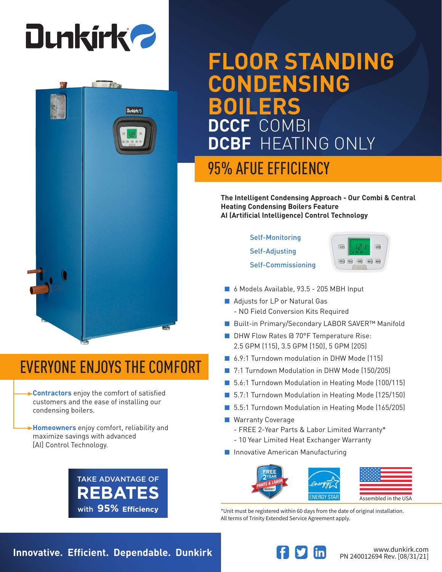

**Dunkirk** 

# **FLOOR STANDING CONDENSING BOILERS DCCF** COMBI **DCBF** HEATING ONLY

## 95% AFUE EFFICIENCY

**The Intelligent Condensing Approach - Our Combi & Central Heating Condensing Boilers Feature AI (Artificial Intelligence) Control Technology**

### Self-Monitoring

Self-Adjusting Self-Commissioning



- 6 Models Available, 93.5 205 MBH Input
- Adjusts for LP or Natural Gas - NO Field Conversion Kits Required
- Built-in Primary/Secondary LABOR SAVER<sup>™</sup> Manifold
- DHW Flow Rates @ 70°F Temperature Rise: 2.5 GPM (115), 3.5 GPM (150), 5 GPM (205)
- 6.9:1 Turndown modulation in DHW Mode (115)
- 7:1 Turndown Modulation in DHW Mode (150/205)
- 5.6:1 Turndown Modulation in Heating Mode (100/115)
- 5.7:1 Turndown Modulation in Heating Mode (125/150)
- 5.5:1 Turndown Modulation in Heating Mode (165/205)
- Warranty Coverage
	- FREE 2-Year Parts & Labor Limited Warranty\*
	- 10 Year Limited Heat Exchanger Warranty
- Innovative American Manufacturing



\*Unit must be registered within 60 days from the date of original installation. All terms of Trinity Extended Service Agreement apply.

# EVERYONE ENJOYS THE COMFORT

**Contractors** enjoy the comfort of satisfied customers and the ease of installing our condensing boilers.

**Homeowners** enjoy comfort, reliability and maximize savings with advanced [AI] Control Technology.



**Innovative. Efficient. Dependable. Dunkirk Wave and South and Medicinal Property Communistry.com**